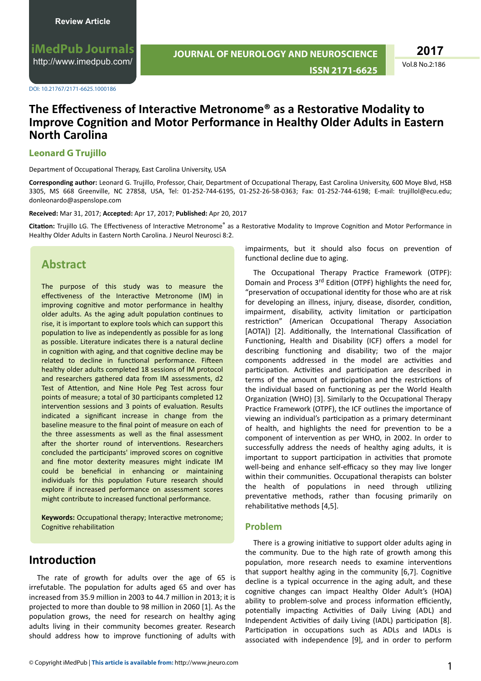**iMedPub Journals** <http://www.imedpub.com/>

DOI: 10.21767/2171-6625.1000186

# **JOURNAL OF NEUROLOGY AND NEUROSCIENCE**

**2017**

**ISSN 2171-6625**

Vol.8 No.2:186

### **The Effectiveness of Interactive Metronome® as a Restorative Modality to Improve Cognition and Motor Performance in Healthy Older Adults in Eastern North Carolina**

#### **Leonard G Trujillo**

Department of Occupational Therapy, East Carolina University, USA

Corresponding author: Leonard G. Trujillo, Professor, Chair, Department of Occupational Therapy, East Carolina University, 600 Moye Blvd, HSB 3305, MS 668 Greenville, NC 27858, USA, Tel: 01-252-744-6195, 01-252-26-58-0363; Fax: 01-252-744-6198; E-mail: trujillol@ecu.edu; donleonardo@aspenslope.com

#### **Received:** Mar 31, 2017; **Accepted:** Apr 17, 2017; **Published:** Apr 20, 2017

Citation: Trujillo LG. The Effectiveness of Interactive Metronome<sup>®</sup> as a Restorative Modality to Improve Cognition and Motor Performance in Healthy Older Adults in Eastern North Carolina. J Neurol Neurosci 8:2.

### **Abstract**

The purpose of this study was to measure the effectiveness of the Interactive Metronome (IM) in improving cognitive and motor performance in healthy older adults. As the aging adult population continues to rise, it is important to explore tools which can support this population to live as independently as possible for as long as possible. Literature indicates there is a natural decline in cognition with aging, and that cognitive decline may be related to decline in functional performance. Fifteen healthy older adults completed 18 sessions of IM protocol and researchers gathered data from IM assessments, d2 Test of Attention, and Nine Hole Peg Test across four points of measure; a total of 30 participants completed 12 intervention sessions and 3 points of evaluation. Results indicated a significant increase in change from the baseline measure to the final point of measure on each of the three assessments as well as the final assessment after the shorter round of interventions. Researchers concluded the participants' improved scores on cognitive and fine motor dexterity measures might indicate IM could be beneficial in enhancing or maintaining individuals for this population Future research should explore if increased performance on assessment scores might contribute to increased functional performance.

Keywords: Occupational therapy; Interactive metronome; Cognitive rehabilitation

### **Introduction**

The rate of growth for adults over the age of 65 is irrefutable. The population for adults aged 65 and over has increased from 35.9 million in 2003 to 44.7 million in 2013; it is projected to more than double to 98 million in 2060 [1]. As the population grows, the need for research on healthy aging adults living in their community becomes greater. Research should address how to improve functioning of adults with

impairments, but it should also focus on prevention of functional decline due to aging.

The Occupational Therapy Practice Framework (OTPF): Domain and Process 3<sup>rd</sup> Edition (OTPF) highlights the need for, "preservation of occupational identity for those who are at risk for developing an illness, injury, disease, disorder, condition, impairment, disability, activity limitation or participation restriction" (American Occupational Therapy Association [AOTA]) [2]. Additionally, the International Classification of Functioning, Health and Disability (ICF) offers a model for describing functioning and disability; two of the major components addressed in the model are activities and participation. Activities and participation are described in terms of the amount of participation and the restrictions of the individual based on functioning as per the World Health Organization (WHO) [3]. Similarly to the Occupational Therapy Practice Framework (OTPF), the ICF outlines the importance of viewing an individual's participation as a primary determinant of health, and highlights the need for prevention to be a component of intervention as per WHO, in 2002. In order to successfully address the needs of healthy aging adults, it is important to support participation in activities that promote well-being and enhance self-efficacy so they may live longer within their communities. Occupational therapists can bolster the health of populations in need through utilizing preventative methods, rather than focusing primarily on rehabilitative methods [4,5].

#### **Problem**

There is a growing initiative to support older adults aging in the community. Due to the high rate of growth among this population, more research needs to examine interventions that support healthy aging in the community [6,7]. Cognitive decline is a typical occurrence in the aging adult, and these cognitive changes can impact Healthy Older Adult's (HOA) ability to problem-solve and process information efficiently, potentially impacting Activities of Daily Living (ADL) and Independent Activities of daily Living (IADL) participation [8]. Participation in occupations such as ADLs and IADLs is associated with independence [9], and in order to perform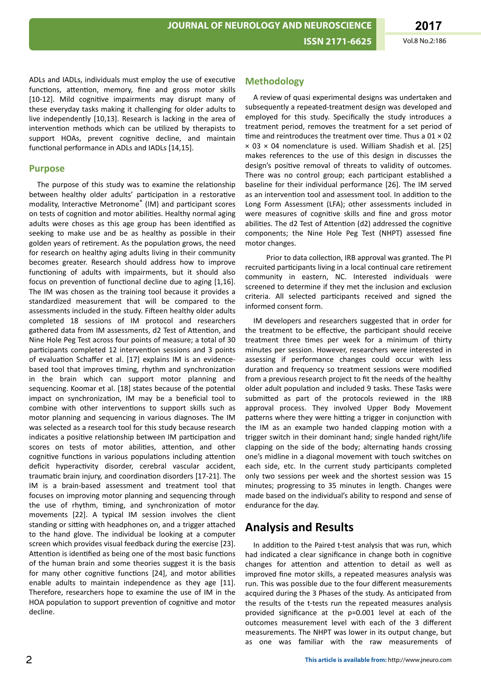ADLs and IADLs, individuals must employ the use of executive functions, attention, memory, fine and gross motor skills [10-12]. Mild cognitive impairments may disrupt many of these everyday tasks making it challenging for older adults to live independently [10,13]. Research is lacking in the area of intervention methods which can be utilized by therapists to support HOAs, prevent cognitive decline, and maintain functional performance in ADLs and IADLs [14.15].

#### **Purpose**

The purpose of this study was to examine the relationship between healthy older adults' participation in a restorative modality, Interactive Metronome® (IM) and participant scores on tests of cognition and motor abilities. Healthy normal aging adults were choses as this age group has been identified as seeking to make use and be as healthy as possible in their golden years of retirement. As the population grows, the need for research on healthy aging adults living in their community becomes greater. Research should address how to improve functioning of adults with impairments, but it should also focus on prevention of functional decline due to aging [1,16]. The IM was chosen as the training tool because it provides a standardized measurement that will be compared to the assessments included in the study. Fifteen healthy older adults completed 18 sessions of IM protocol and researchers gathered data from IM assessments, d2 Test of Attention, and Nine Hole Peg Test across four points of measure; a total of 30 participants completed 12 intervention sessions and 3 points of evaluation Schaffer et al. [17] explains IM is an evidencebased tool that improves timing, rhythm and synchronization in the brain which can support motor planning and sequencing. Koomar et al. [18] states because of the potential impact on synchronization, IM may be a beneficial tool to combine with other interventions to support skills such as motor planning and sequencing in various diagnoses. The IM was selected as a research tool for this study because research indicates a positive relationship between IM participation and scores on tests of motor abilities, attention, and other cognitive functions in various populations including attention deficit hyperactivity disorder, cerebral vascular accident, traumatic brain injury, and coordination disorders [17-21]. The IM is a brain-based assessment and treatment tool that focuses on improving motor planning and sequencing through the use of rhythm, timing, and synchronization of motor movements [22]. A typical IM session involves the client standing or sitting with headphones on, and a trigger attached to the hand glove. The individual be looking at a computer screen which provides visual feedback during the exercise [23]. Attention is identified as being one of the most basic functions of the human brain and some theories suggest it is the basis for many other cognitive functions [24], and motor abilities enable adults to maintain independence as they age [11]. Therefore, researchers hope to examine the use of IM in the HOA population to support prevention of cognitive and motor decline.

#### **Methodology**

A review of quasi experimental designs was undertaken and subsequently a repeated-treatment design was developed and employed for this study. Specifically the study introduces a treatment period, removes the treatment for a set period of time and reintroduces the treatment over time. Thus a  $01 \times 02$  $\times$  03  $\times$  04 nomenclature is used. William Shadish et al. [25] makes references to the use of this design in discusses the design's positive removal of threats to validity of outcomes. There was no control group; each participant established a baseline for their individual performance [26]. The IM served as an intervention tool and assessment tool. In addition to the Long Form Assessment (LFA); other assessments included in were measures of cognitive skills and fine and gross motor abilities. The d2 Test of Attention (d2) addressed the cognitive components; the Nine Hole Peg Test (NHPT) assessed fine motor changes.

Prior to data collection, IRB approval was granted. The PI recruited participants living in a local continual care retirement community in eastern, NC. Interested individuals were screened to determine if they met the inclusion and exclusion criteria. All selected participants received and signed the informed consent form.

IM developers and researchers suggested that in order for the treatment to be effective, the participant should receive treatment three times per week for a minimum of thirty minutes per session. However, researchers were interested in assessing if performance changes could occur with less duration and frequency so treatment sessions were modified from a previous research project to fit the needs of the healthy older adult population and included 9 tasks. These Tasks were submitted as part of the protocols reviewed in the IRB approval process. They involved Upper Body Movement patterns where they were hitting a trigger in conjunction with the IM as an example two handed clapping motion with a trigger switch in their dominant hand; single handed right/life clapping on the side of the body; alternating hands crossing one's midline in a diagonal movement with touch switches on each side, etc. In the current study participants completed only two sessions per week and the shortest session was 15 minutes; progressing to 35 minutes in length. Changes were made based on the individual's ability to respond and sense of endurance for the day.

# **Analysis and Results**

In addition to the Paired t-test analysis that was run, which had indicated a clear significance in change both in cognitive changes for attention and attention to detail as well as improved fine motor skills, a repeated measures analysis was run. This was possible due to the four different measurements acquired during the 3 Phases of the study. As anticipated from the results of the t-tests run the repeated measures analysis provided significance at the p=0.001 level at each of the outcomes measurement level with each of the 3 different measurements. The NHPT was lower in its output change, but as one was familiar with the raw measurements of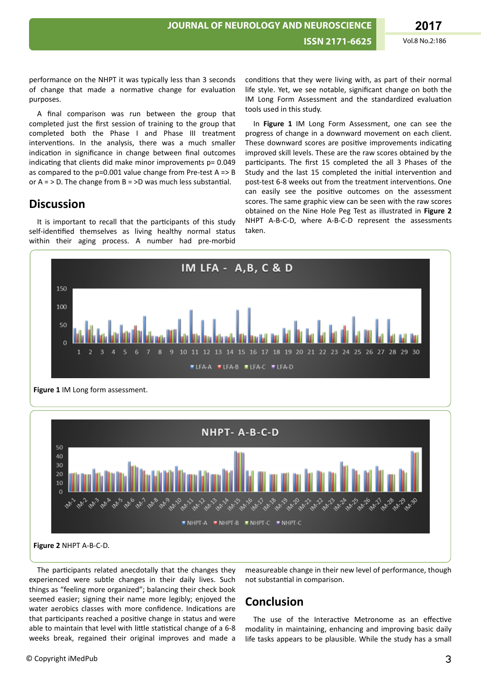performance on the NHPT it was typically less than 3 seconds of change that made a normative change for evaluation purposes.

A final comparison was run between the group that completed just the first session of training to the group that completed both the Phase I and Phase III treatment interventions. In the analysis, there was a much smaller indication in significance in change between final outcomes indicating that clients did make minor improvements  $p= 0.049$ as compared to the p=0.001 value change from Pre-test A => B or  $A =$  > D. The change from  $B =$  >D was much less substantial.

### **Discussion**

It is important to recall that the participants of this study self-identified themselves as living healthy normal status within their aging process. A number had pre-morbid

conditions that they were living with, as part of their normal life style. Yet, we see notable, significant change on both the IM Long Form Assessment and the standardized evaluation tools used in this study.

In **Figure 1** IM Long Form Assessment, one can see the progress of change in a downward movement on each client. These downward scores are positive improvements indicating improved skill levels. These are the raw scores obtained by the participants. The first 15 completed the all 3 Phases of the Study and the last 15 completed the initial intervention and post-test 6-8 weeks out from the treatment interventions. One can easily see the positive outcomes on the assessment scores. The same graphic view can be seen with the raw scores obtained on the Nine Hole Peg Test as illustrated in **Figure 2** NHPT A-B-C-D, where A-B-C-D represent the assessments taken.





The participants related anecdotally that the changes they experienced were subtle changes in their daily lives. Such things as "feeling more organized"; balancing their check book seemed easier; signing their name more legibly; enjoyed the water aerobics classes with more confidence. Indications are that participants reached a positive change in status and were able to maintain that level with little statistical change of a 6-8 weeks break, regained their original improves and made a

measureable change in their new level of performance, though not substantial in comparison.

# **Conclusion**

The use of the Interactive Metronome as an effective modality in maintaining, enhancing and improving basic daily life tasks appears to be plausible. While the study has a small